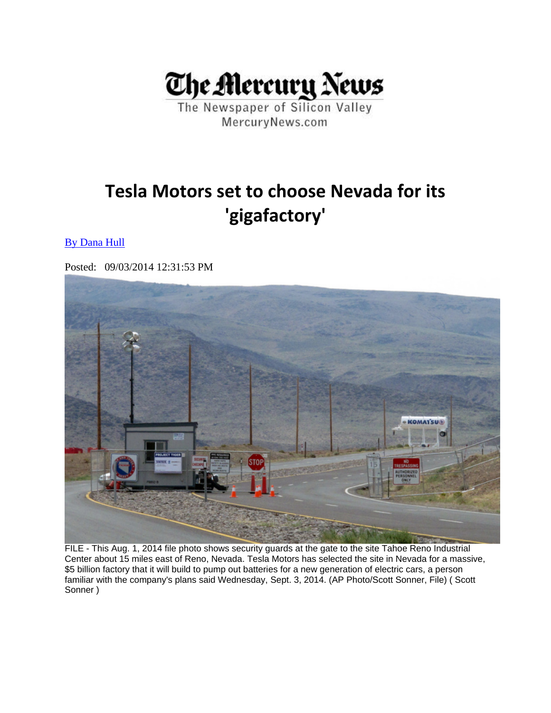

The Newspaper of Silicon Valley MercuryNews.com

## **Tesla Motors set to choose Nevada for its 'gigafactory'**

## By Dana Hull

Posted: 09/03/2014 12:31:53 PM



FILE - This Aug. 1, 2014 file photo shows security guards at the gate to the site Tahoe Reno Industrial Center about 15 miles east of Reno, Nevada. Tesla Motors has selected the site in Nevada for a massive, \$5 billion factory that it will build to pump out batteries for a new generation of electric cars, a person familiar with the company's plans said Wednesday, Sept. 3, 2014. (AP Photo/Scott Sonner, File) ( Scott Sonner )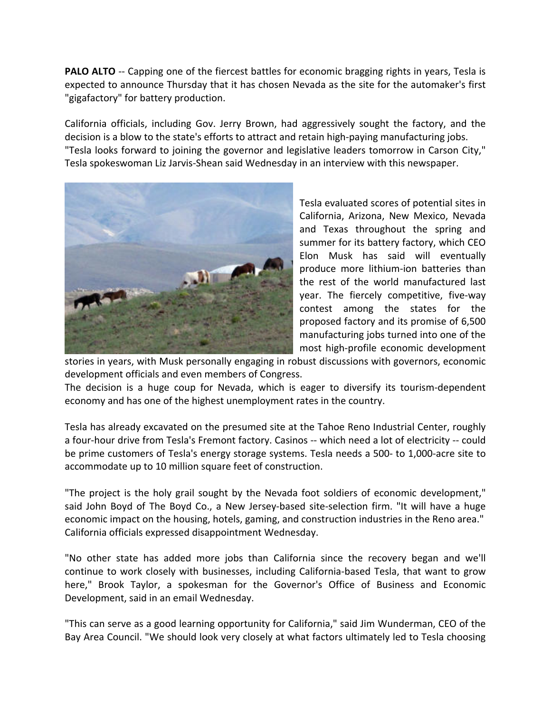**PALO ALTO** ‐‐ Capping one of the fiercest battles for economic bragging rights in years, Tesla is expected to announce Thursday that it has chosen Nevada as the site for the automaker's first "gigafactory" for battery production.

California officials, including Gov. Jerry Brown, had aggressively sought the factory, and the decision is a blow to the state's efforts to attract and retain high‐paying manufacturing jobs. "Tesla looks forward to joining the governor and legislative leaders tomorrow in Carson City," Tesla spokeswoman Liz Jarvis‐Shean said Wednesday in an interview with this newspaper.



Tesla evaluated scores of potential sites in California, Arizona, New Mexico, Nevada and Texas throughout the spring and summer for its battery factory, which CEO Elon Musk has said will eventually produce more lithium‐ion batteries than the rest of the world manufactured last year. The fiercely competitive, five‐way contest among the states for the proposed factory and its promise of 6,500 manufacturing jobs turned into one of the most high‐profile economic development

stories in years, with Musk personally engaging in robust discussions with governors, economic development officials and even members of Congress.

The decision is a huge coup for Nevada, which is eager to diversify its tourism‐dependent economy and has one of the highest unemployment rates in the country.

Tesla has already excavated on the presumed site at the Tahoe Reno Industrial Center, roughly a four-hour drive from Tesla's Fremont factory. Casinos -- which need a lot of electricity -- could be prime customers of Tesla's energy storage systems. Tesla needs a 500‐ to 1,000‐acre site to accommodate up to 10 million square feet of construction.

"The project is the holy grail sought by the Nevada foot soldiers of economic development," said John Boyd of The Boyd Co., a New Jersey-based site-selection firm. "It will have a huge economic impact on the housing, hotels, gaming, and construction industries in the Reno area." California officials expressed disappointment Wednesday.

"No other state has added more jobs than California since the recovery began and we'll continue to work closely with businesses, including California‐based Tesla, that want to grow here," Brook Taylor, a spokesman for the Governor's Office of Business and Economic Development, said in an email Wednesday.

"This can serve as a good learning opportunity for California," said Jim Wunderman, CEO of the Bay Area Council. "We should look very closely at what factors ultimately led to Tesla choosing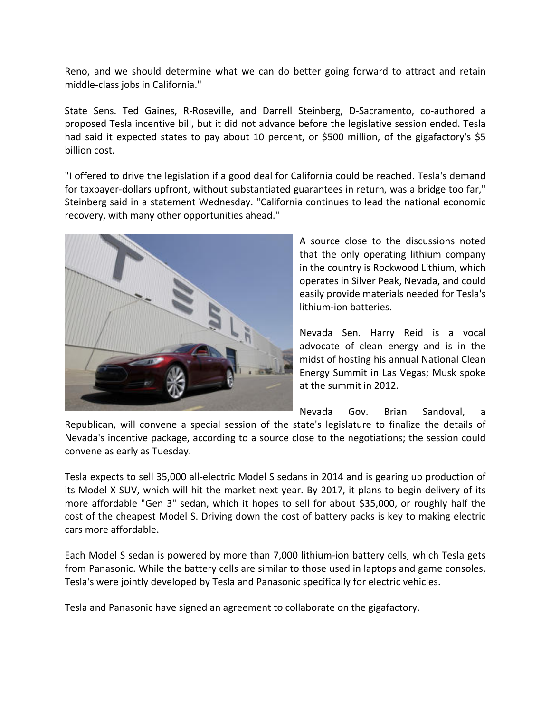Reno, and we should determine what we can do better going forward to attract and retain middle‐class jobs in California."

State Sens. Ted Gaines, R-Roseville, and Darrell Steinberg, D-Sacramento, co-authored a proposed Tesla incentive bill, but it did not advance before the legislative session ended. Tesla had said it expected states to pay about 10 percent, or \$500 million, of the gigafactory's \$5 billion cost.

"I offered to drive the legislation if a good deal for California could be reached. Tesla's demand for taxpayer-dollars upfront, without substantiated guarantees in return, was a bridge too far," Steinberg said in a statement Wednesday. "California continues to lead the national economic recovery, with many other opportunities ahead."



A source close to the discussions noted that the only operating lithium company in the country is Rockwood Lithium, which operates in Silver Peak, Nevada, and could easily provide materials needed for Tesla's lithium‐ion batteries.

Nevada Sen. Harry Reid is a vocal advocate of clean energy and is in the midst of hosting his annual National Clean Energy Summit in Las Vegas; Musk spoke at the summit in 2012.

Nevada Gov. Brian Sandoval, a

Republican, will convene a special session of the state's legislature to finalize the details of Nevada's incentive package, according to a source close to the negotiations; the session could convene as early as Tuesday.

Tesla expects to sell 35,000 all‐electric Model S sedans in 2014 and is gearing up production of its Model X SUV, which will hit the market next year. By 2017, it plans to begin delivery of its more affordable "Gen 3" sedan, which it hopes to sell for about \$35,000, or roughly half the cost of the cheapest Model S. Driving down the cost of battery packs is key to making electric cars more affordable.

Each Model S sedan is powered by more than 7,000 lithium‐ion battery cells, which Tesla gets from Panasonic. While the battery cells are similar to those used in laptops and game consoles, Tesla's were jointly developed by Tesla and Panasonic specifically for electric vehicles.

Tesla and Panasonic have signed an agreement to collaborate on the gigafactory.